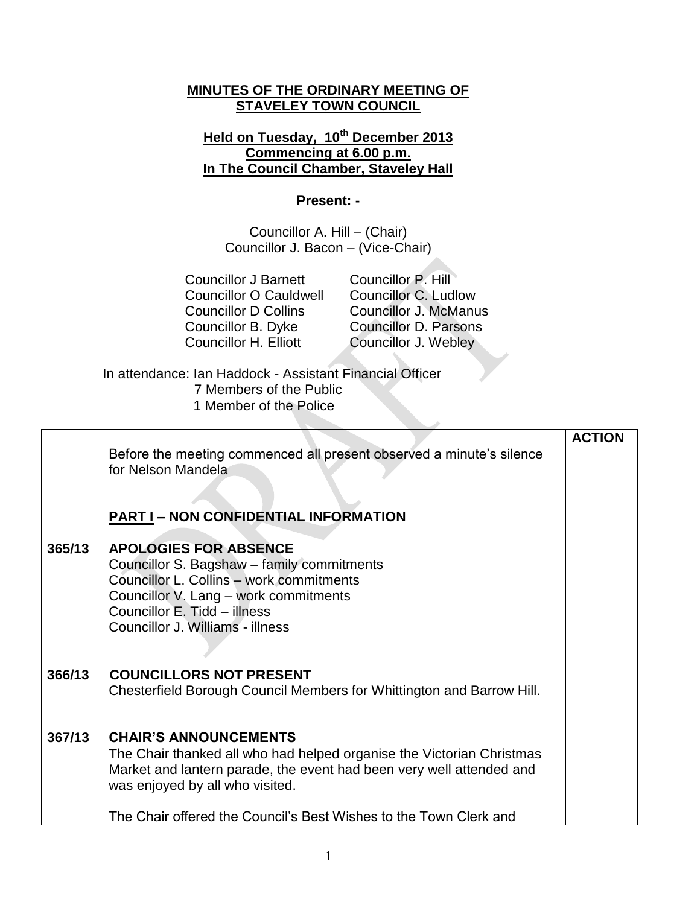## **MINUTES OF THE ORDINARY MEETING OF STAVELEY TOWN COUNCIL**

## **Held on Tuesday, 10th December 2013 Commencing at 6.00 p.m. In The Council Chamber, Staveley Hall**

## **Present: -**

Councillor A. Hill – (Chair) Councillor J. Bacon – (Vice-Chair)

Councillor P. Hill Councillor C. Ludlow Councillor J. McManus Councillor D. Parsons Councillor J. Webley

In attendance: Ian Haddock - Assistant Financial Officer 7 Members of the Public 1 Member of the Police

|        |                                                                                                                                                                                                                                     | <b>ACTION</b> |
|--------|-------------------------------------------------------------------------------------------------------------------------------------------------------------------------------------------------------------------------------------|---------------|
|        | Before the meeting commenced all present observed a minute's silence<br>for Nelson Mandela<br><b>PART I-NON CONFIDENTIAL INFORMATION</b>                                                                                            |               |
| 365/13 | <b>APOLOGIES FOR ABSENCE</b><br>Councillor S. Bagshaw - family commitments<br>Councillor L. Collins - work commitments<br>Councillor V. Lang - work commitments<br>Councillor E. Tidd - illness<br>Councillor J. Williams - illness |               |
| 366/13 | <b>COUNCILLORS NOT PRESENT</b>                                                                                                                                                                                                      |               |
|        | Chesterfield Borough Council Members for Whittington and Barrow Hill.                                                                                                                                                               |               |
| 367/13 | <b>CHAIR'S ANNOUNCEMENTS</b>                                                                                                                                                                                                        |               |
|        | The Chair thanked all who had helped organise the Victorian Christmas<br>Market and lantern parade, the event had been very well attended and                                                                                       |               |
|        | was enjoyed by all who visited.                                                                                                                                                                                                     |               |
|        | The Chair offered the Council's Best Wishes to the Town Clerk and                                                                                                                                                                   |               |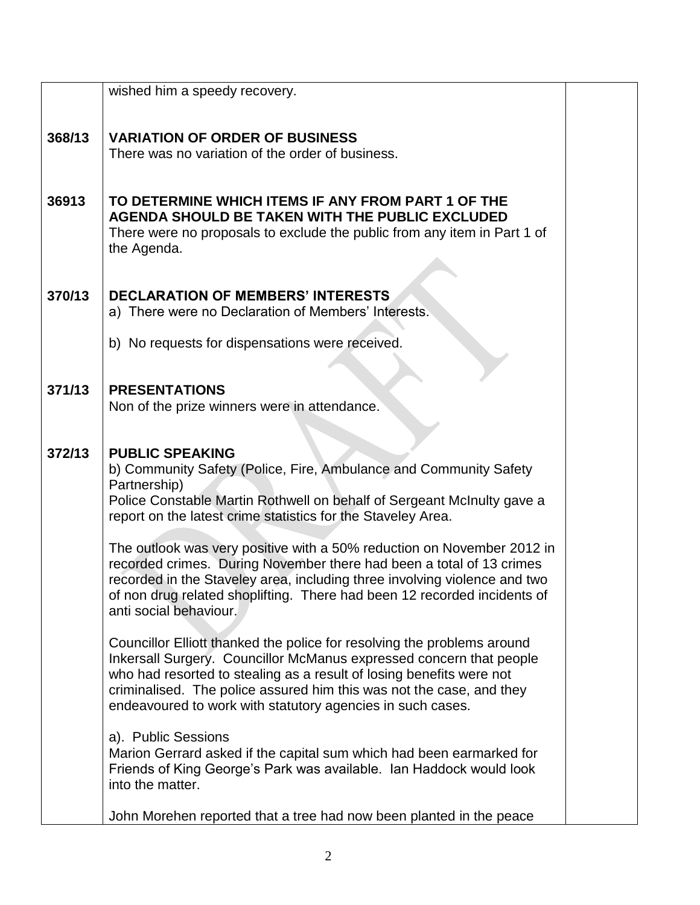|        | wished him a speedy recovery.                                                                                                                         |  |
|--------|-------------------------------------------------------------------------------------------------------------------------------------------------------|--|
| 368/13 | <b>VARIATION OF ORDER OF BUSINESS</b>                                                                                                                 |  |
|        | There was no variation of the order of business.                                                                                                      |  |
|        |                                                                                                                                                       |  |
| 36913  | TO DETERMINE WHICH ITEMS IF ANY FROM PART 1 OF THE                                                                                                    |  |
|        | AGENDA SHOULD BE TAKEN WITH THE PUBLIC EXCLUDED                                                                                                       |  |
|        | There were no proposals to exclude the public from any item in Part 1 of                                                                              |  |
|        | the Agenda.                                                                                                                                           |  |
|        |                                                                                                                                                       |  |
| 370/13 | <b>DECLARATION OF MEMBERS' INTERESTS</b>                                                                                                              |  |
|        | a) There were no Declaration of Members' Interests.                                                                                                   |  |
|        |                                                                                                                                                       |  |
|        | b) No requests for dispensations were received.                                                                                                       |  |
|        |                                                                                                                                                       |  |
| 371/13 | <b>PRESENTATIONS</b>                                                                                                                                  |  |
|        | Non of the prize winners were in attendance.                                                                                                          |  |
|        |                                                                                                                                                       |  |
|        |                                                                                                                                                       |  |
| 372/13 | <b>PUBLIC SPEAKING</b>                                                                                                                                |  |
|        | b) Community Safety (Police, Fire, Ambulance and Community Safety                                                                                     |  |
|        | Partnership)<br>Police Constable Martin Rothwell on behalf of Sergeant McInulty gave a                                                                |  |
|        | report on the latest crime statistics for the Staveley Area.                                                                                          |  |
|        |                                                                                                                                                       |  |
|        | The outlook was very positive with a 50% reduction on November 2012 in                                                                                |  |
|        | recorded crimes. During November there had been a total of 13 crimes                                                                                  |  |
|        | recorded in the Staveley area, including three involving violence and two<br>of non drug related shoplifting. There had been 12 recorded incidents of |  |
|        | anti social behaviour.                                                                                                                                |  |
|        |                                                                                                                                                       |  |
|        | Councillor Elliott thanked the police for resolving the problems around                                                                               |  |
|        | Inkersall Surgery. Councillor McManus expressed concern that people                                                                                   |  |
|        | who had resorted to stealing as a result of losing benefits were not                                                                                  |  |
|        | criminalised. The police assured him this was not the case, and they                                                                                  |  |
|        | endeavoured to work with statutory agencies in such cases.                                                                                            |  |
|        | a). Public Sessions                                                                                                                                   |  |
|        | Marion Gerrard asked if the capital sum which had been earmarked for                                                                                  |  |
|        | Friends of King George's Park was available. Ian Haddock would look                                                                                   |  |
|        | into the matter.                                                                                                                                      |  |
|        |                                                                                                                                                       |  |
|        | John Morehen reported that a tree had now been planted in the peace                                                                                   |  |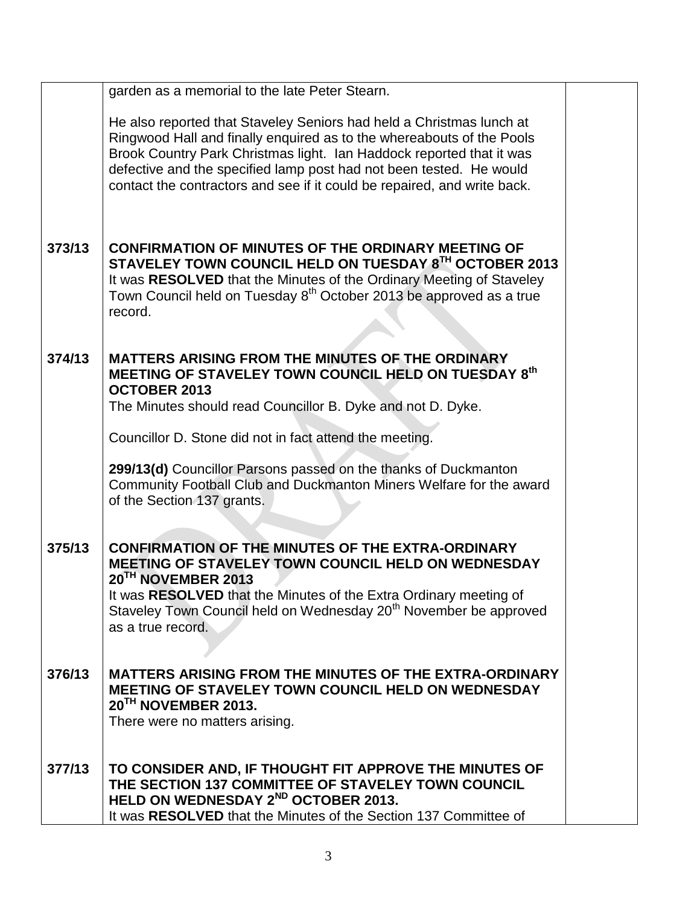|        | garden as a memorial to the late Peter Stearn.                                                                                                                                                                                                                                                                                                                           |  |
|--------|--------------------------------------------------------------------------------------------------------------------------------------------------------------------------------------------------------------------------------------------------------------------------------------------------------------------------------------------------------------------------|--|
|        | He also reported that Staveley Seniors had held a Christmas lunch at<br>Ringwood Hall and finally enquired as to the whereabouts of the Pools<br>Brook Country Park Christmas light. Ian Haddock reported that it was<br>defective and the specified lamp post had not been tested. He would<br>contact the contractors and see if it could be repaired, and write back. |  |
| 373/13 | <b>CONFIRMATION OF MINUTES OF THE ORDINARY MEETING OF</b><br>STAVELEY TOWN COUNCIL HELD ON TUESDAY 8TH OCTOBER 2013<br>It was RESOLVED that the Minutes of the Ordinary Meeting of Staveley<br>Town Council held on Tuesday 8 <sup>th</sup> October 2013 be approved as a true<br>record.                                                                                |  |
| 374/13 | MATTERS ARISING FROM THE MINUTES OF THE ORDINARY<br>MEETING OF STAVELEY TOWN COUNCIL HELD ON TUESDAY 8th<br><b>OCTOBER 2013</b><br>The Minutes should read Councillor B. Dyke and not D. Dyke.                                                                                                                                                                           |  |
|        | Councillor D. Stone did not in fact attend the meeting.                                                                                                                                                                                                                                                                                                                  |  |
|        | 299/13(d) Councillor Parsons passed on the thanks of Duckmanton<br>Community Football Club and Duckmanton Miners Welfare for the award<br>of the Section 137 grants.                                                                                                                                                                                                     |  |
| 375/13 | <b>CONFIRMATION OF THE MINUTES OF THE EXTRA-ORDINARY</b><br><b>MEETING OF STAVELEY TOWN COUNCIL HELD ON WEDNESDAY</b><br>20 <sup>TH</sup> NOVEMBER 2013<br>It was RESOLVED that the Minutes of the Extra Ordinary meeting of<br>Staveley Town Council held on Wednesday 20 <sup>th</sup> November be approved<br>as a true record.                                       |  |
| 376/13 | <b>MATTERS ARISING FROM THE MINUTES OF THE EXTRA-ORDINARY</b><br><b>MEETING OF STAVELEY TOWN COUNCIL HELD ON WEDNESDAY</b><br>20TH NOVEMBER 2013.<br>There were no matters arising.                                                                                                                                                                                      |  |
| 377/13 | TO CONSIDER AND, IF THOUGHT FIT APPROVE THE MINUTES OF<br>THE SECTION 137 COMMITTEE OF STAVELEY TOWN COUNCIL<br>HELD ON WEDNESDAY 2 <sup>ND</sup> OCTOBER 2013.<br>It was RESOLVED that the Minutes of the Section 137 Committee of                                                                                                                                      |  |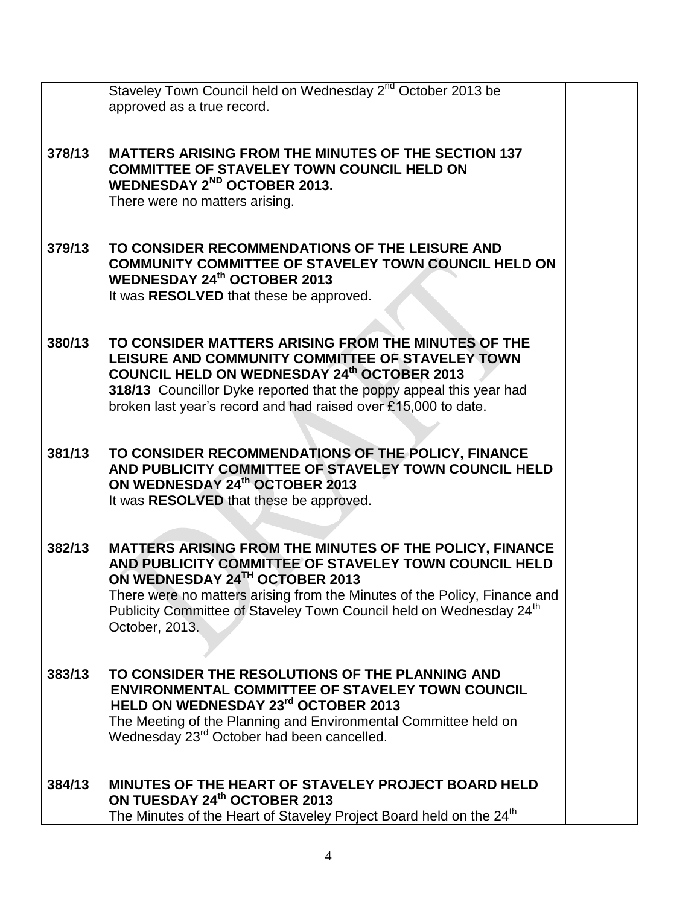|        | Staveley Town Council held on Wednesday 2 <sup>nd</sup> October 2013 be<br>approved as a true record.                                                                                                                                                                                                                                |  |
|--------|--------------------------------------------------------------------------------------------------------------------------------------------------------------------------------------------------------------------------------------------------------------------------------------------------------------------------------------|--|
| 378/13 | <b>MATTERS ARISING FROM THE MINUTES OF THE SECTION 137</b><br><b>COMMITTEE OF STAVELEY TOWN COUNCIL HELD ON</b><br><b>WEDNESDAY 2<sup>ND</sup> OCTOBER 2013.</b><br>There were no matters arising.                                                                                                                                   |  |
| 379/13 | TO CONSIDER RECOMMENDATIONS OF THE LEISURE AND<br><b>COMMUNITY COMMITTEE OF STAVELEY TOWN COUNCIL HELD ON</b><br><b>WEDNESDAY 24th OCTOBER 2013</b><br>It was RESOLVED that these be approved.                                                                                                                                       |  |
| 380/13 | TO CONSIDER MATTERS ARISING FROM THE MINUTES OF THE<br>LEISURE AND COMMUNITY COMMITTEE OF STAVELEY TOWN<br><b>COUNCIL HELD ON WEDNESDAY 24th OCTOBER 2013</b><br>318/13 Councillor Dyke reported that the poppy appeal this year had<br>broken last year's record and had raised over £15,000 to date.                               |  |
| 381/13 | TO CONSIDER RECOMMENDATIONS OF THE POLICY, FINANCE<br>AND PUBLICITY COMMITTEE OF STAVELEY TOWN COUNCIL HELD<br>ON WEDNESDAY 24th OCTOBER 2013<br>It was RESOLVED that these be approved.                                                                                                                                             |  |
| 382/13 | MATTERS ARISING FROM THE MINUTES OF THE POLICY, FINANCE<br>AND PUBLICITY COMMITTEE OF STAVELEY TOWN COUNCIL HELD<br>ON WEDNESDAY 24TH OCTOBER 2013<br>There were no matters arising from the Minutes of the Policy, Finance and<br>Publicity Committee of Staveley Town Council held on Wednesday 24 <sup>th</sup><br>October, 2013. |  |
| 383/13 | TO CONSIDER THE RESOLUTIONS OF THE PLANNING AND<br><b>ENVIRONMENTAL COMMITTEE OF STAVELEY TOWN COUNCIL</b><br>HELD ON WEDNESDAY 23rd OCTOBER 2013<br>The Meeting of the Planning and Environmental Committee held on<br>Wednesday 23 <sup>rd</sup> October had been cancelled.                                                       |  |
| 384/13 | MINUTES OF THE HEART OF STAVELEY PROJECT BOARD HELD<br>ON TUESDAY 24th OCTOBER 2013<br>The Minutes of the Heart of Staveley Project Board held on the 24 <sup>th</sup>                                                                                                                                                               |  |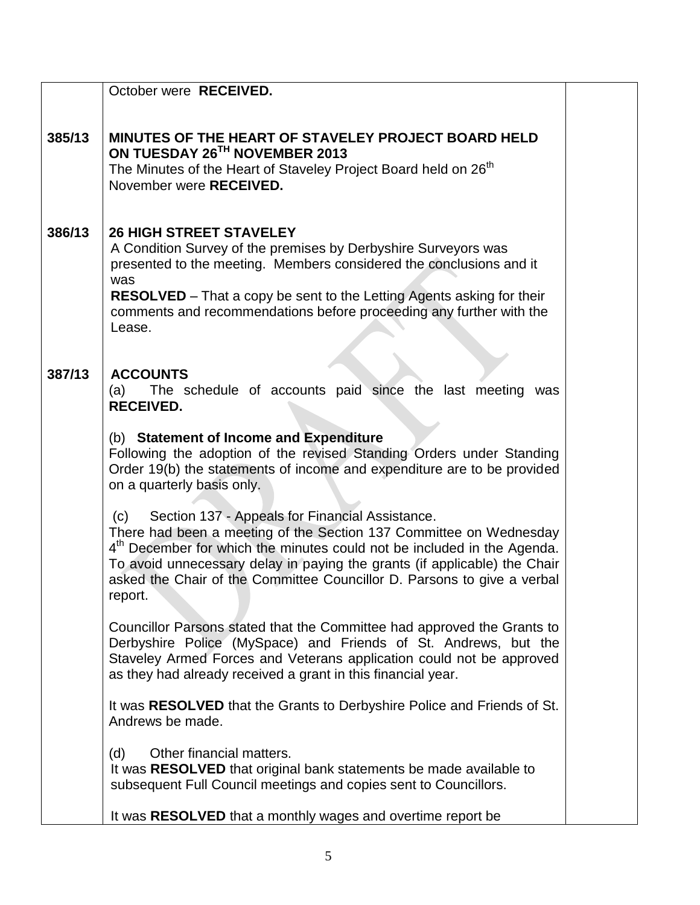|        | October were RECEIVED.                                                                                                                                                                                                                                                                                                                                                                 |  |
|--------|----------------------------------------------------------------------------------------------------------------------------------------------------------------------------------------------------------------------------------------------------------------------------------------------------------------------------------------------------------------------------------------|--|
| 385/13 | <b>MINUTES OF THE HEART OF STAVELEY PROJECT BOARD HELD</b><br>ON TUESDAY 26TH NOVEMBER 2013<br>The Minutes of the Heart of Staveley Project Board held on 26 <sup>th</sup><br>November were RECEIVED.                                                                                                                                                                                  |  |
| 386/13 | <b>26 HIGH STREET STAVELEY</b><br>A Condition Survey of the premises by Derbyshire Surveyors was<br>presented to the meeting. Members considered the conclusions and it<br>was<br><b>RESOLVED</b> – That a copy be sent to the Letting Agents asking for their<br>comments and recommendations before proceeding any further with the<br>Lease.                                        |  |
| 387/13 | <b>ACCOUNTS</b><br>The schedule of accounts paid since the last meeting<br>(a)<br>was<br><b>RECEIVED.</b>                                                                                                                                                                                                                                                                              |  |
|        | (b) Statement of Income and Expenditure<br>Following the adoption of the revised Standing Orders under Standing<br>Order 19(b) the statements of income and expenditure are to be provided<br>on a quarterly basis only.                                                                                                                                                               |  |
|        | Section 137 - Appeals for Financial Assistance.<br>(c)<br>There had been a meeting of the Section 137 Committee on Wednesday<br>4 <sup>th</sup> December for which the minutes could not be included in the Agenda.<br>To avoid unnecessary delay in paying the grants (if applicable) the Chair<br>asked the Chair of the Committee Councillor D. Parsons to give a verbal<br>report. |  |
|        | Councillor Parsons stated that the Committee had approved the Grants to<br>Derbyshire Police (MySpace) and Friends of St. Andrews, but the<br>Staveley Armed Forces and Veterans application could not be approved<br>as they had already received a grant in this financial year.                                                                                                     |  |
|        | It was RESOLVED that the Grants to Derbyshire Police and Friends of St.<br>Andrews be made.                                                                                                                                                                                                                                                                                            |  |
|        | Other financial matters.<br>(d)<br>It was RESOLVED that original bank statements be made available to<br>subsequent Full Council meetings and copies sent to Councillors.                                                                                                                                                                                                              |  |
|        | It was RESOLVED that a monthly wages and overtime report be                                                                                                                                                                                                                                                                                                                            |  |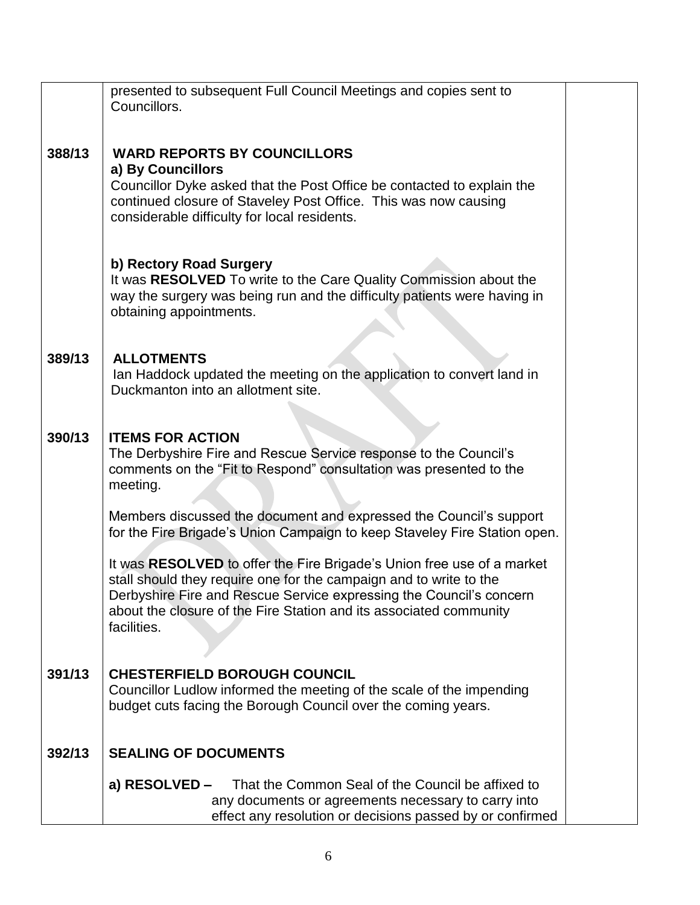|        | presented to subsequent Full Council Meetings and copies sent to<br>Councillors.                                                                                                                                                                                                                         |  |
|--------|----------------------------------------------------------------------------------------------------------------------------------------------------------------------------------------------------------------------------------------------------------------------------------------------------------|--|
|        |                                                                                                                                                                                                                                                                                                          |  |
| 388/13 | <b>WARD REPORTS BY COUNCILLORS</b><br>a) By Councillors<br>Councillor Dyke asked that the Post Office be contacted to explain the<br>continued closure of Staveley Post Office. This was now causing<br>considerable difficulty for local residents.                                                     |  |
|        | b) Rectory Road Surgery<br>It was RESOLVED To write to the Care Quality Commission about the<br>way the surgery was being run and the difficulty patients were having in<br>obtaining appointments.                                                                                                      |  |
| 389/13 | <b>ALLOTMENTS</b><br>Ian Haddock updated the meeting on the application to convert land in<br>Duckmanton into an allotment site.                                                                                                                                                                         |  |
| 390/13 | <b>ITEMS FOR ACTION</b><br>The Derbyshire Fire and Rescue Service response to the Council's<br>comments on the "Fit to Respond" consultation was presented to the<br>meeting.                                                                                                                            |  |
|        | Members discussed the document and expressed the Council's support<br>for the Fire Brigade's Union Campaign to keep Staveley Fire Station open.                                                                                                                                                          |  |
|        | It was RESOLVED to offer the Fire Brigade's Union free use of a market<br>stall should they require one for the campaign and to write to the<br>Derbyshire Fire and Rescue Service expressing the Council's concern<br>about the closure of the Fire Station and its associated community<br>facilities. |  |
| 391/13 | <b>CHESTERFIELD BOROUGH COUNCIL</b><br>Councillor Ludlow informed the meeting of the scale of the impending<br>budget cuts facing the Borough Council over the coming years.                                                                                                                             |  |
| 392/13 | <b>SEALING OF DOCUMENTS</b>                                                                                                                                                                                                                                                                              |  |
|        | That the Common Seal of the Council be affixed to<br>a) RESOLVED –<br>any documents or agreements necessary to carry into<br>effect any resolution or decisions passed by or confirmed                                                                                                                   |  |